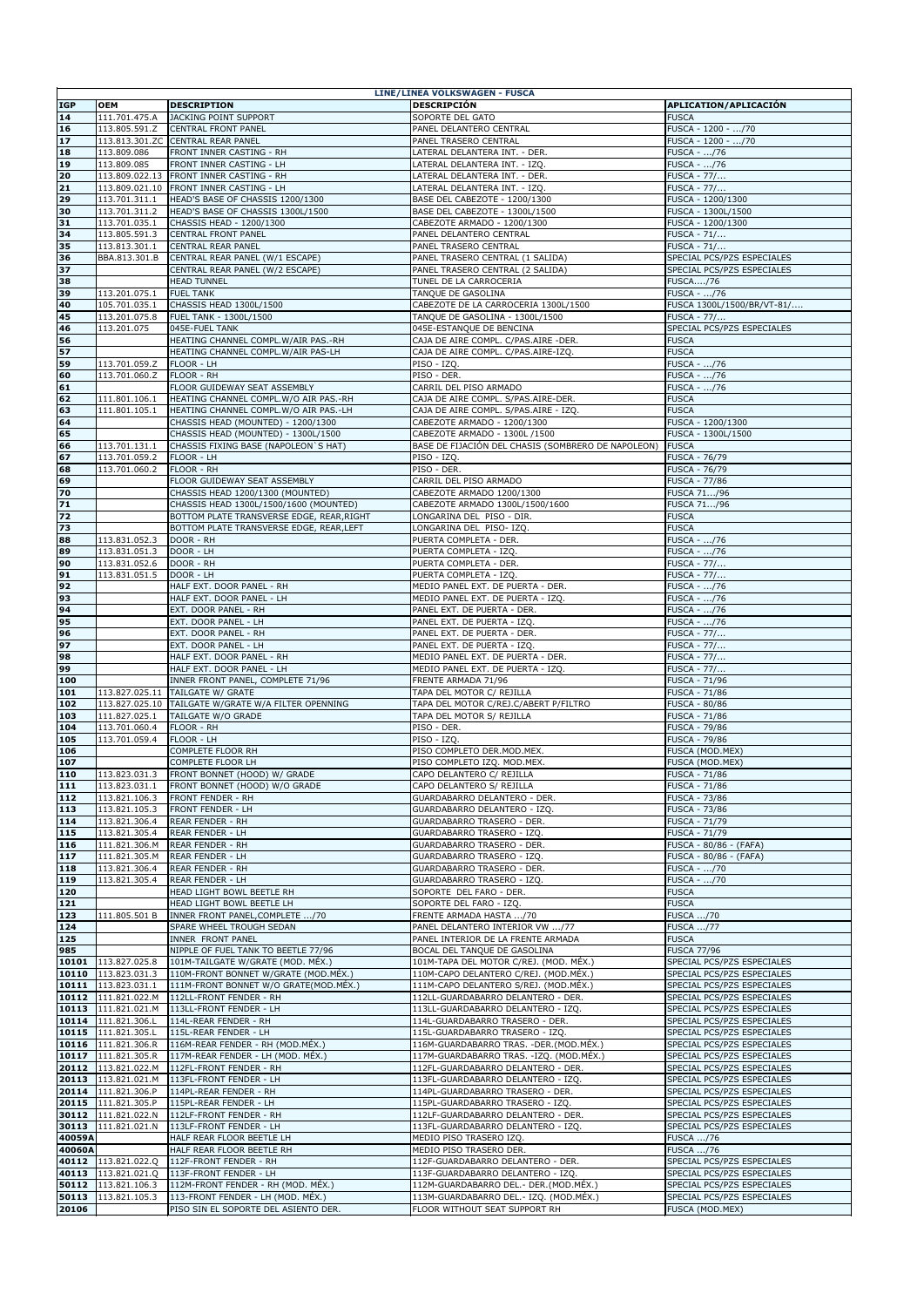| <b>LINE/LINEA VOLKSWAGEN - FUSCA</b> |                                               |                                                     |                                                            |                                              |  |  |  |
|--------------------------------------|-----------------------------------------------|-----------------------------------------------------|------------------------------------------------------------|----------------------------------------------|--|--|--|
| <b>IGP</b>                           | <b>OEM</b>                                    | <b>DESCRIPTION</b>                                  | <b>DESCRIPCIÓN</b>                                         | APLICATION/APLICACIÓN                        |  |  |  |
| 14                                   | 111.701.475.A                                 | JACKING POINT SUPPORT                               | SOPORTE DEL GATO                                           | <b>FUSCA</b>                                 |  |  |  |
| <b>16</b>                            | 113.805.591.Z                                 | <b>CENTRAL FRONT PANEL</b>                          | PANEL DELANTERO CENTRAL                                    | FUSCA - 1200 - /70                           |  |  |  |
|                                      |                                               |                                                     |                                                            |                                              |  |  |  |
| $17$                                 |                                               | 113.813.301.ZC CENTRAL REAR PANEL                   | PANEL TRASERO CENTRAL                                      | FUSCA - 1200 - /70                           |  |  |  |
| <b>18</b>                            | 113.809.086                                   | <b>FRONT INNER CASTING - RH</b>                     | LATERAL DELANTERA INT. - DER.                              | FUSCA - /76                                  |  |  |  |
| 19                                   | 113.809.085                                   | <b>FRONT INNER CASTING - LH</b>                     | LATERAL DELANTERA INT. - IZQ.                              | FUSCA - /76                                  |  |  |  |
| 20                                   | 113.809.022.13                                | <b>FRONT INNER CASTING - RH</b>                     | LATERAL DELANTERA INT. - DER.                              | <b>FUSCA - 77/</b>                           |  |  |  |
| $\boxed{21}$                         |                                               | 113.809.021.10 FRONT INNER CASTING - LH             | LATERAL DELANTERA INT. - IZQ.                              | <b>FUSCA - 77/</b>                           |  |  |  |
| 29                                   | 113.701.311.1                                 | HEAD'S BASE OF CHASSIS 1200/1300                    | BASE DEL CABEZOTE - 1200/1300                              | FUSCA - 1200/1300                            |  |  |  |
| 30                                   | 113.701.311.2                                 | HEAD'S BASE OF CHASSIS 1300L/1500                   | BASE DEL CABEZOTE - 1300L/1500                             | FUSCA - 1300L/1500                           |  |  |  |
| 31                                   | 113.701.035.1                                 | CHASSIS HEAD - 1200/1300                            | CABEZOTE ARMADO - 1200/1300                                | FUSCA - 1200/1300                            |  |  |  |
| 34                                   | 113.805.591.3                                 | <b>CENTRAL FRONT PANEL</b>                          | PANEL DELANTERO CENTRAL                                    | $FUSCA - 71/$                                |  |  |  |
| 35                                   | 113.813.301.1                                 | <b>CENTRAL REAR PANEL</b>                           | PANEL TRASERO CENTRAL                                      | <b>FUSCA - 71/</b>                           |  |  |  |
| 36                                   | BBA.813.301.B                                 | CENTRAL REAR PANEL (W/1 ESCAPE)                     | PANEL TRASERO CENTRAL (1 SALIDA)                           | SPECIAL PCS/PZS ESPECIALES                   |  |  |  |
| $37$                                 |                                               | CENTRAL REAR PANEL (W/2 ESCAPE)                     | PANEL TRASERO CENTRAL (2 SALIDA)                           | SPECIAL PCS/PZS ESPECIALES                   |  |  |  |
| 38                                   |                                               | <b>HEAD TUNNEL</b>                                  | TUNEL DE LA CARROCERIA                                     | <b>FUSCA/76</b>                              |  |  |  |
| 39                                   | 113.201.075.1                                 | <b>FUEL TANK</b>                                    | TANQUE DE GASOLINA                                         | FUSCA - /76                                  |  |  |  |
| 40                                   | 105.701.035.1                                 | CHASSIS HEAD 1300L/1500                             | CABEZOTE DE LA CARROCERIA 1300L/1500                       | FUSCA 1300L/1500/BR/VT-81/                   |  |  |  |
| 45                                   | 113.201.075.8                                 | FUEL TANK - 1300L/1500                              | TANQUE DE GASOLINA - 1300L/1500                            | <b>FUSCA - 77/</b>                           |  |  |  |
| 46                                   | 113.201.075                                   | 045E-FUEL TANK                                      | 045E-ESTANQUE DE BENCINA                                   | SPECIAL PCS/PZS ESPECIALES                   |  |  |  |
| 56                                   |                                               | HEATING CHANNEL COMPL.W/AIR PAS.-RH                 | CAJA DE AIRE COMPL. C/PAS.AIRE -DER.                       | <b>FUSCA</b>                                 |  |  |  |
| 57                                   |                                               | HEATING CHANNEL COMPL.W/AIR PAS-LH                  | CAJA DE AIRE COMPL. C/PAS.AIRE-IZQ.                        | <b>FUSCA</b>                                 |  |  |  |
|                                      | 113.701.059.Z                                 |                                                     |                                                            |                                              |  |  |  |
| 59                                   |                                               | <b>FLOOR - LH</b>                                   | PISO - IZQ.                                                | FUSCA - /76                                  |  |  |  |
| 60                                   | 113.701.060.Z                                 | <b>FLOOR - RH</b>                                   | PISO - DER.                                                | FUSCA - /76                                  |  |  |  |
| 61                                   |                                               | FLOOR GUIDEWAY SEAT ASSEMBLY                        | CARRIL DEL PISO ARMADO                                     | <b>FUSCA - /76</b>                           |  |  |  |
| 62                                   | 111.801.106.1                                 | HEATING CHANNEL COMPL.W/O AIR PAS.-RH               | CAJA DE AIRE COMPL. S/PAS.AIRE-DER.                        | <b>FUSCA</b>                                 |  |  |  |
| 63                                   | 111.801.105.1                                 | HEATING CHANNEL COMPL.W/O AIR PAS.-LH               | CAJA DE AIRE COMPL. S/PAS.AIRE - IZQ.                      | <b>FUSCA</b>                                 |  |  |  |
| 64                                   |                                               | CHASSIS HEAD (MOUNTED) - 1200/1300                  | CABEZOTE ARMADO - 1200/1300                                | FUSCA - 1200/1300                            |  |  |  |
| 65                                   |                                               | CHASSIS HEAD (MOUNTED) - 1300L/1500                 | CABEZOTE ARMADO - 1300L /1500                              | FUSCA - 1300L/1500                           |  |  |  |
| 66                                   |                                               | 113.701.131.1 CHASSIS FIXING BASE (NAPOLEON `S HAT) | BASE DE FIJACIÓN DEL CHASIS (SOMBRERO DE NAPOLEON) FUSCA   |                                              |  |  |  |
| 67                                   | 113.701.059.2                                 | <b>FLOOR - LH</b>                                   | PISO - IZQ.                                                | <b>FUSCA - 76/79</b>                         |  |  |  |
| 68                                   | 113.701.060.2                                 | <b>FLOOR - RH</b>                                   | PISO - DER.                                                | <b>FUSCA - 76/79</b>                         |  |  |  |
| 69                                   |                                               | FLOOR GUIDEWAY SEAT ASSEMBLY                        | CARRIL DEL PISO ARMADO                                     | <b>FUSCA - 77/86</b>                         |  |  |  |
| 70                                   |                                               | CHASSIS HEAD 1200/1300 (MOUNTED)                    | CABEZOTE ARMADO 1200/1300                                  | <b>FUSCA 71/96</b>                           |  |  |  |
| 71                                   |                                               | CHASSIS HEAD 1300L/1500/1600 (MOUNTED)              | CABEZOTE ARMADO 1300L/1500/1600                            | <b>FUSCA 71/96</b>                           |  |  |  |
| 72                                   |                                               | BOTTOM PLATE TRANSVERSE EDGE, REAR, RIGHT           | LONGARINA DEL PISO - DIR.                                  | <b>FUSCA</b>                                 |  |  |  |
| 73                                   |                                               | BOTTOM PLATE TRANSVERSE EDGE, REAR, LEFT            | LONGARINA DEL PISO-IZQ.                                    | <b>FUSCA</b>                                 |  |  |  |
| 88                                   | 113.831.052.3                                 | DOOR - RH                                           | PUERTA COMPLETA - DER.                                     | FUSCA - /76                                  |  |  |  |
| 89                                   | 113.831.051.3                                 | DOOR - LH                                           | PUERTA COMPLETA - IZQ.                                     | FUSCA - /76                                  |  |  |  |
| 90                                   | 113.831.052.6                                 | DOOR - RH                                           | PUERTA COMPLETA - DER.                                     | <b>FUSCA - 77/</b>                           |  |  |  |
|                                      |                                               |                                                     |                                                            |                                              |  |  |  |
| 91                                   | 113.831.051.5                                 | DOOR - LH                                           | PUERTA COMPLETA - IZQ.                                     | <b>FUSCA - 77/</b>                           |  |  |  |
| 92                                   |                                               | HALF EXT. DOOR PANEL - RH                           | MEDIO PANEL EXT. DE PUERTA - DER.                          | FUSCA - /76                                  |  |  |  |
| 93                                   |                                               | HALF EXT. DOOR PANEL - LH                           | MEDIO PANEL EXT. DE PUERTA - IZQ.                          | <b>FUSCA - /76</b>                           |  |  |  |
| 94                                   |                                               | EXT. DOOR PANEL - RH                                | PANEL EXT. DE PUERTA - DER.                                | FUSCA - /76                                  |  |  |  |
| 95                                   |                                               | EXT. DOOR PANEL - LH                                | PANEL EXT. DE PUERTA - IZQ.                                | FUSCA - /76                                  |  |  |  |
| 96                                   |                                               | EXT. DOOR PANEL - RH                                | PANEL EXT. DE PUERTA - DER.                                | <b>FUSCA - 77/</b>                           |  |  |  |
| 97                                   |                                               | EXT. DOOR PANEL - LH                                | PANEL EXT. DE PUERTA - IZQ.                                | FUSCA - 77/                                  |  |  |  |
| 98                                   |                                               | HALF EXT. DOOR PANEL - RH                           | MEDIO PANEL EXT. DE PUERTA - DER.                          | FUSCA - 77/                                  |  |  |  |
| 99                                   |                                               | HALF EXT. DOOR PANEL - LH                           | MEDIO PANEL EXT. DE PUERTA - IZQ.                          | <b>FUSCA - 77/</b>                           |  |  |  |
| 100                                  |                                               | INNER FRONT PANEL, COMPLETE 71/96                   | FRENTE ARMADA 71/96                                        | <b>FUSCA - 71/96</b>                         |  |  |  |
| 101                                  | 113.827.025.11                                | TAILGATE W/ GRATE                                   | TAPA DEL MOTOR C/ REJILLA                                  | <b>FUSCA - 71/86</b>                         |  |  |  |
| 102                                  |                                               | 113.827.025.10 TAILGATE W/GRATE W/A FILTER OPENNING | TAPA DEL MOTOR C/REJ.C/ABERT P/FILTRO                      | <b>FUSCA - 80/86</b>                         |  |  |  |
| 103                                  | 111.827.025.1                                 | TAILGATE W/O GRADE                                  | TAPA DEL MOTOR S/ REJILLA                                  | <b>FUSCA - 71/86</b>                         |  |  |  |
| 104                                  | 113.701.060.4                                 | <b>FLOOR - RH</b>                                   | PISO - DER.                                                | <b>FUSCA - 79/86</b>                         |  |  |  |
| 105                                  | 113.701.059.4                                 | <b>FLOOR - LH</b>                                   | PISO - IZQ.                                                | <b>FUSCA - 79/86</b>                         |  |  |  |
| 106                                  |                                               | COMPLETE FLOOR RH                                   | PISO COMPLETO DER.MOD.MEX.                                 | FUSCA (MOD.MEX)                              |  |  |  |
| <b>107</b>                           |                                               | COMPLETE FLOOR LH                                   | PISO COMPLETO IZQ. MOD.MEX.                                | FUSCA (MOD.MEX)                              |  |  |  |
| 110                                  | 113.823.031.3                                 | FRONT BONNET (HOOD) W/ GRADE                        | CAPO DELANTERO C/ REJILLA                                  | <b>FUSCA - 71/86</b>                         |  |  |  |
| 111                                  | 113.823.031.1                                 | FRONT BONNET (HOOD) W/O GRADE                       | CAPO DELANTERO S/ REJILLA                                  | <b>FUSCA - 71/86</b>                         |  |  |  |
| 112                                  | 113.821.106.3                                 | <b>FRONT FENDER - RH</b>                            | GUARDABARRO DELANTERO - DER.                               | <b>FUSCA - 73/86</b>                         |  |  |  |
| $\boxed{113}$                        |                                               |                                                     |                                                            |                                              |  |  |  |
| 114                                  | 113.821.306.4                                 | <b>REAR FENDER - RH</b>                             | GUARDABARRO DELANTERO - IZQ.<br>GUARDABARRO TRASERO - DER. | <b>FUSCA - 73/86</b><br><b>FUSCA - 71/79</b> |  |  |  |
|                                      | 113.821.305.4                                 |                                                     | GUARDABARRO TRASERO - IZQ.                                 |                                              |  |  |  |
| <b>115</b>                           |                                               | <b>REAR FENDER - LH</b>                             |                                                            | <b>FUSCA - 71/79</b>                         |  |  |  |
| <b>116</b>                           | 111.821.306.M                                 | <b>REAR FENDER - RH</b>                             | GUARDABARRO TRASERO - DER.                                 | FUSCA - 80/86 - (FAFA)                       |  |  |  |
| 117                                  | 111.821.305.M                                 | <b>REAR FENDER - LH</b>                             | GUARDABARRO TRASERO - IZQ.                                 | FUSCA - 80/86 - (FAFA)                       |  |  |  |
| <b>118</b>                           | 113.821.306.4                                 | <b>REAR FENDER - RH</b>                             | GUARDABARRO TRASERO - DER.                                 | <b>FUSCA - /70</b>                           |  |  |  |
| <b>119</b>                           | 113.821.305.4                                 | <b>REAR FENDER - LH</b>                             | GUARDABARRO TRASERO - IZQ.                                 | FUSCA - /70                                  |  |  |  |
| <b>120</b>                           |                                               | HEAD LIGHT BOWL BEETLE RH                           | SOPORTE DEL FARO - DER.                                    | <b>FUSCA</b>                                 |  |  |  |
| <b>121</b>                           |                                               | HEAD LIGHT BOWL BEETLE LH                           | SOPORTE DEL FARO - IZQ.                                    | <b>FUSCA</b>                                 |  |  |  |
| 123                                  | 111.805.501 B                                 | INNER FRONT PANEL, COMPLETE  / 70                   | FRENTE ARMADA HASTA /70                                    | <b>FUSCA /70</b>                             |  |  |  |
| 124                                  |                                               | SPARE WHEEL TROUGH SEDAN                            | PANEL DELANTERO INTERIOR VW /77                            | <b>FUSCA /77</b>                             |  |  |  |
| 125                                  |                                               | INNER FRONT PANEL                                   | PANEL INTERIOR DE LA FRENTE ARMADA                         | <b>FUSCA</b>                                 |  |  |  |
| 985                                  |                                               | NIPPLE OF FUEL TANK TO BEETLE 77/96                 | BOCAL DEL TANQUE DE GASOLINA                               | <b>FUSCA 77/96</b>                           |  |  |  |
| 10101                                | 113.827.025.8                                 | 101M-TAILGATE W/GRATE (MOD. MÉX.)                   | 101M-TAPA DEL MOTOR C/REJ. (MOD. MÉX.)                     | SPECIAL PCS/PZS ESPECIALES                   |  |  |  |
|                                      | $\vert$ <b>10110</b> $\vert$ 113.823.031.3    | 110M-FRONT BONNET W/GRATE (MOD.MÉX.)                | 110M-CAPO DELANTERO C/REJ. (MOD.MÉX.)                      | SPECIAL PCS/PZS ESPECIALES                   |  |  |  |
|                                      | $\vert 10111 \vert 113.823.031.1 \vert$       | 111M-FRONT BONNET W/O GRATE(MOD.MÉX.)               | 111M-CAPO DELANTERO S/REJ. (MOD.MÉX.)                      | SPECIAL PCS/PZS ESPECIALES                   |  |  |  |
|                                      | 10112 111.821.022.M                           | 112LL-FRONT FENDER - RH                             | 112LL-GUARDABARRO DELANTERO - DER.                         | SPECIAL PCS/PZS ESPECIALES                   |  |  |  |
|                                      | $\vert 10113 \vert 111.821.021.M \vert$       | 113LL-FRONT FENDER - LH                             | 113LL-GUARDABARRO DELANTERO - IZQ.                         | SPECIAL PCS/PZS ESPECIALES                   |  |  |  |
|                                      | $10114$  111.821.306.L                        | 114L-REAR FENDER - RH                               | 114L-GUARDABARRO TRASERO - DER.                            | SPECIAL PCS/PZS ESPECIALES                   |  |  |  |
|                                      | $\vert 10115 \vert \vert 111.821.305.L \vert$ | 115L-REAR FENDER - LH                               | 115L-GUARDABARRO TRASERO - IZQ.                            | SPECIAL PCS/PZS ESPECIALES                   |  |  |  |
|                                      | $\vert$ <b>10116</b> $\vert$ 111.821.306.R    | 116M-REAR FENDER - RH (MOD.MÉX.)                    | 116M-GUARDABARRO TRAS. -DER.(MOD.MÉX.)                     | SPECIAL PCS/PZS ESPECIALES                   |  |  |  |
|                                      | $\vert 10117 \vert \vert 111.821.305.R \vert$ | 117M-REAR FENDER - LH (MOD. MÉX.)                   | 117M-GUARDABARRO TRAS. -IZQ. (MOD.MÉX.)                    | SPECIAL PCS/PZS ESPECIALES                   |  |  |  |
|                                      | 20112 113.821.022.M                           | 112FL-FRONT FENDER - RH                             | 112FL-GUARDABARRO DELANTERO - DER.                         | SPECIAL PCS/PZS ESPECIALES                   |  |  |  |
|                                      | 20113 113.821.021.M                           | 113FL-FRONT FENDER - LH                             | 113FL-GUARDABARRO DELANTERO - IZQ.                         | SPECIAL PCS/PZS ESPECIALES                   |  |  |  |
|                                      | 20114 111.821.306.P                           | 114PL-REAR FENDER - RH                              | 114PL-GUARDABARRO TRASERO - DER.                           | SPECIAL PCS/PZS ESPECIALES                   |  |  |  |
|                                      | 20115 111.821.305.P                           | 115PL-REAR FENDER - LH                              | 115PL-GUARDABARRO TRASERO - IZQ.                           | SPECIAL PCS/PZS ESPECIALES                   |  |  |  |
|                                      | 30112 111.821.022.N                           | 112LF-FRONT FENDER - RH                             | 112LF-GUARDABARRO DELANTERO - DER.                         | SPECIAL PCS/PZS ESPECIALES                   |  |  |  |
|                                      | $ 30113 \t  111.821.021.N$                    | 113LF-FRONT FENDER - LH                             | 113FL-GUARDABARRO DELANTERO - IZQ.                         | SPECIAL PCS/PZS ESPECIALES                   |  |  |  |
| 40059A                               |                                               | HALF REAR FLOOR BEETLE LH                           | MEDIO PISO TRASERO IZQ.                                    | <b>FUSCA /76</b>                             |  |  |  |
|                                      |                                               |                                                     |                                                            |                                              |  |  |  |
| 40060A                               |                                               | HALF REAR FLOOR BEETLE RH                           | MEDIO PISO TRASERO DER.                                    | <b>FUSCA /76</b>                             |  |  |  |
|                                      | $ 40112 $ $ 113.821.022.Q $                   | 112F-FRONT FENDER - RH                              | 112F-GUARDABARRO DELANTERO - DER.                          | SPECIAL PCS/PZS ESPECIALES                   |  |  |  |
|                                      |                                               | 40113   113.821.021.Q   113F-FRONT FENDER - LH      | 113F-GUARDABARRO DELANTERO - IZQ.                          | SPECIAL PCS/PZS ESPECIALES                   |  |  |  |
| 50112                                | 113.821.106.3                                 | 112M-FRONT FENDER - RH (MOD. MÉX.)                  | 112M-GUARDABARRO DEL.- DER.(MOD.MÉX.)                      | SPECIAL PCS/PZS ESPECIALES                   |  |  |  |
| 50113                                | 113.821.105.3                                 | 113-FRONT FENDER - LH (MOD. MÉX.)                   | 113M-GUARDABARRO DEL.- IZQ. (MOD.MÉX.)                     | SPECIAL PCS/PZS ESPECIALES                   |  |  |  |
| 20106                                |                                               | PISO SIN EL SOPORTE DEL ASIENTO DER.                | FLOOR WITHOUT SEAT SUPPORT RH                              | <b>FUSCA (MOD.MEX)</b>                       |  |  |  |